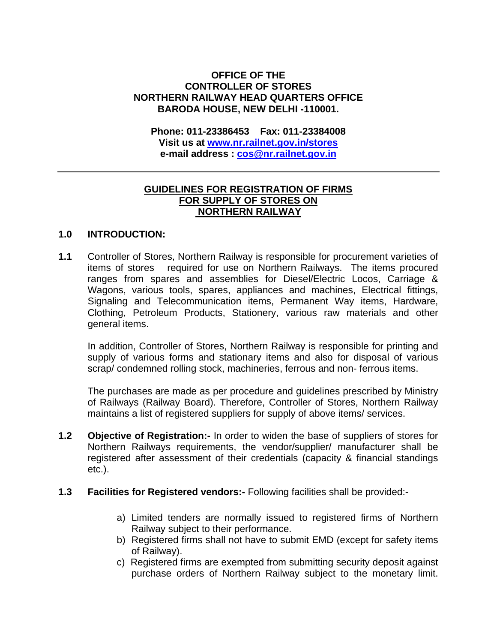## **OFFICE OF THE CONTROLLER OF STORES NORTHERN RAILWAY HEAD QUARTERS OFFICE BARODA HOUSE, NEW DELHI -110001.**

**Phone: 011-23386453 Fax: 011-23384008 Visit us at [www.nr.railnet.gov.in/](http://www.nr.railnet.gov.in/)stores e-mail address : [cos@nr.railnet.gov.in](mailto:cos@nr.railnet.gov.in)** 

## **GUIDELINES FOR REGISTRATION OF FIRMS FOR SUPPLY OF STORES ON NORTHERN RAILWAY**

## **1.0 INTRODUCTION:**

**1.1** Controller of Stores, Northern Railway is responsible for procurement varieties of items of stores required for use on Northern Railways. The items procured ranges from spares and assemblies for Diesel/Electric Locos, Carriage & Wagons, various tools, spares, appliances and machines, Electrical fittings, Signaling and Telecommunication items, Permanent Way items, Hardware, Clothing, Petroleum Products, Stationery, various raw materials and other general items.

In addition, Controller of Stores, Northern Railway is responsible for printing and supply of various forms and stationary items and also for disposal of various scrap/ condemned rolling stock, machineries, ferrous and non- ferrous items.

The purchases are made as per procedure and guidelines prescribed by Ministry of Railways (Railway Board). Therefore, Controller of Stores, Northern Railway maintains a list of registered suppliers for supply of above items/ services.

- **1.2 Objective of Registration:-** In order to widen the base of suppliers of stores for Northern Railways requirements, the vendor/supplier/ manufacturer shall be registered after assessment of their credentials (capacity & financial standings etc.).
- **1.3 Facilities for Registered vendors:-** Following facilities shall be provided:
	- a) Limited tenders are normally issued to registered firms of Northern Railway subject to their performance.
	- b) Registered firms shall not have to submit EMD (except for safety items of Railway).
	- c) Registered firms are exempted from submitting security deposit against purchase orders of Northern Railway subject to the monetary limit.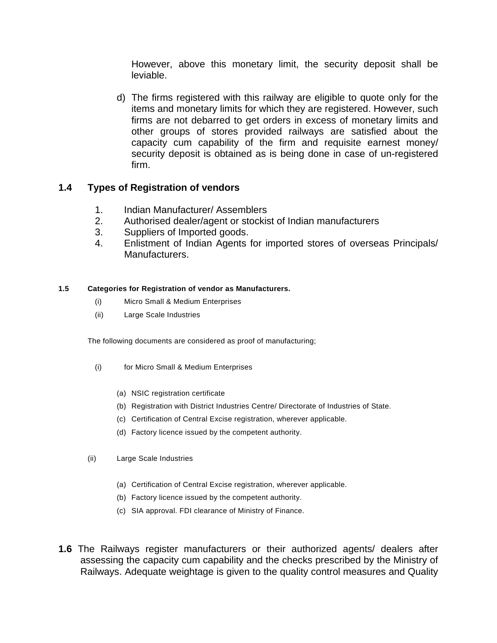However, above this monetary limit, the security deposit shall be leviable.

d) The firms registered with this railway are eligible to quote only for the items and monetary limits for which they are registered. However, such firms are not debarred to get orders in excess of monetary limits and other groups of stores provided railways are satisfied about the capacity cum capability of the firm and requisite earnest money/ security deposit is obtained as is being done in case of un-registered firm.

## **1.4 Types of Registration of vendors**

- 1. Indian Manufacturer/ Assemblers
- 2. Authorised dealer/agent or stockist of Indian manufacturers
- 3. Suppliers of Imported goods.
- 4. Enlistment of Indian Agents for imported stores of overseas Principals/ Manufacturers.

## **1.5 Categories for Registration of vendor as Manufacturers.**

- (i) Micro Small & Medium Enterprises
- (ii) Large Scale Industries

The following documents are considered as proof of manufacturing;

- (i) for Micro Small & Medium Enterprises
	- (a) NSIC registration certificate
	- (b) Registration with District Industries Centre/ Directorate of Industries of State.
	- (c) Certification of Central Excise registration, wherever applicable.
	- (d) Factory licence issued by the competent authority.
- (ii) Large Scale Industries
	- (a) Certification of Central Excise registration, wherever applicable.
	- (b) Factory licence issued by the competent authority.
	- (c) SIA approval. FDI clearance of Ministry of Finance.
- **1.6** The Railways register manufacturers or their authorized agents/ dealers after assessing the capacity cum capability and the checks prescribed by the Ministry of Railways. Adequate weightage is given to the quality control measures and Quality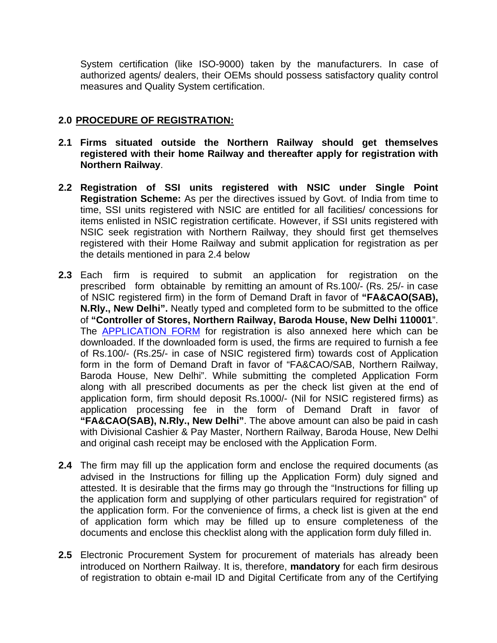System certification (like ISO-9000) taken by the manufacturers. In case of authorized agents/ dealers, their OEMs should possess satisfactory quality control measures and Quality System certification.

# **2.0 PROCEDURE OF REGISTRATION:**

- **2.1 Firms situated outside the Northern Railway should get themselves registered with their home Railway and thereafter apply for registration with Northern Railway**.
- **2.2 Registration of SSI units registered with NSIC under Single Point Registration Scheme:** As per the directives issued by Govt. of India from time to time, SSI units registered with NSIC are entitled for all facilities/ concessions for items enlisted in NSIC registration certificate. However, if SSI units registered with NSIC seek registration with Northern Railway, they should first get themselves registered with their Home Railway and submit application for registration as per the details mentioned in para 2.4 below
- **2.3** Each firm is required to submit an application for registration on the prescribed form obtainable by remitting an amount of Rs.100/- (Rs. 25/- in case of NSIC registered firm) in the form of Demand Draft in favor of **"FA&CAO(SAB), N.Rly., New Delhi".** Neatly typed and completed form to be submitted to the office of **"Controller of Stores, Northern Railway, Baroda House, New Delhi 110001**". The [APPLICATION FORM](http://10.2.2.19/dept/stores/vendor%20registraton%20form%20for%20web%20site/Application%20Form.pdf) for registration is also annexed here which can be downloaded. If the downloaded form is used, the firms are required to furnish a fee of Rs.100/- (Rs.25/- in case of NSIC registered firm) towards cost of Application form in the form of Demand Draft in favor of "FA&CAO/SAB, Northern Railway, Baroda House, New Delhi". While submitting the completed Application Form along with all prescribed documents as per the check list given at the end of application form, firm should deposit Rs.1000/- (Nil for NSIC registered firms) as application processing fee in the form of Demand Draft in favor of **"FA&CAO(SAB), N.Rly., New Delhi"**. The above amount can also be paid in cash with Divisional Cashier & Pay Master, Northern Railway, Baroda House, New Delhi and original cash receipt may be enclosed with the Application Form.
- **2.4** The firm may fill up the application form and enclose the required documents (as advised in the Instructions for filling up the Application Form) duly signed and attested. It is desirable that the firms may go through the "Instructions for filling up the application form and supplying of other particulars required for registration" of the application form. For the convenience of firms, a check list is given at the end of application form which may be filled up to ensure completeness of the documents and enclose this checklist along with the application form duly filled in.
- **2.5** Electronic Procurement System for procurement of materials has already been introduced on Northern Railway. It is, therefore, **mandatory** for each firm desirous of registration to obtain e-mail ID and Digital Certificate from any of the Certifying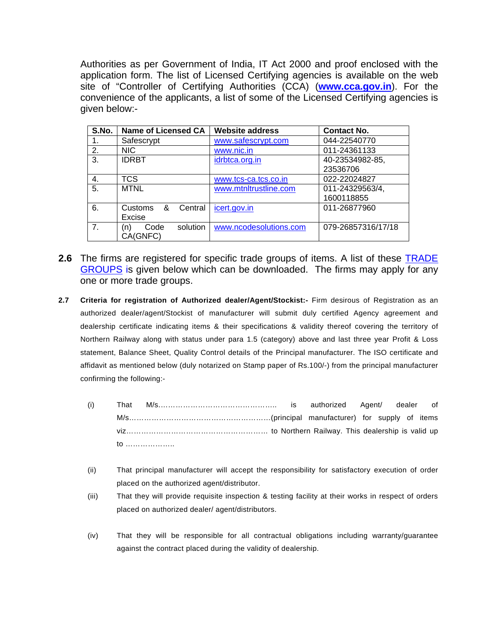Authorities as per Government of India, IT Act 2000 and proof enclosed with the application form. The list of Licensed Certifying agencies is available on the web site of "Controller of Certifying Authorities (CCA) (**[www.cca.gov.in](http://www.cca.gov.in/)**). For the convenience of the applicants, a list of some of the Licensed Certifying agencies is given below:-

| S.No.          | <b>Name of Licensed CA</b> | <b>Website address</b> | <b>Contact No.</b> |
|----------------|----------------------------|------------------------|--------------------|
|                | Safescrypt                 | www.safescrypt.com     | 044-22540770       |
| 2.             | <b>NIC</b>                 | www.nic.in             | 011-24361133       |
| 3.             | <b>IDRBT</b>               | idrbtca.org.in         | 40-23534982-85,    |
|                |                            |                        | 23536706           |
| 4.             | <b>TCS</b>                 | www.tcs-ca.tcs.co.in   | 022-22024827       |
| 5.             | <b>MTNL</b>                | www.mtnltrustline.com  | 011-24329563/4,    |
|                |                            |                        | 1600118855         |
| 6.             | &<br>Customs<br>Central    | icert.gov.in           | 011-26877960       |
|                | Excise                     |                        |                    |
| 7 <sub>1</sub> | solution<br>Code<br>n)     | www.ncodesolutions.com | 079-26857316/17/18 |
|                | CA(GNFC)                   |                        |                    |

- **2.6** The firms are registered for specific trade groups of items. A list of these [TRADE](http://10.2.2.19/dept/stores/vendor%20registraton%20form%20for%20web%20site/Trade%20Group.pdf)  [GROUPS](http://10.2.2.19/dept/stores/vendor%20registraton%20form%20for%20web%20site/Trade%20Group.pdf) is given below which can be downloaded. The firms may apply for any one or more trade groups.
- **2.7 Criteria for registration of Authorized dealer/Agent/Stockist:-** Firm desirous of Registration as an authorized dealer/agent/Stockist of manufacturer will submit duly certified Agency agreement and dealership certificate indicating items & their specifications & validity thereof covering the territory of Northern Railway along with status under para 1.5 (category) above and last three year Profit & Loss statement, Balance Sheet, Quality Control details of the Principal manufacturer. The ISO certificate and affidavit as mentioned below (duly notarized on Stamp paper of Rs.100/-) from the principal manufacturer confirming the following:-
	- (i) That M/s.……………………………………….. is authorized Agent/ dealer of M/s…………………………………………………(principal manufacturer) for supply of items viz………………………………………………… to Northern Railway. This dealership is valid up to ………………..
	- (ii) That principal manufacturer will accept the responsibility for satisfactory execution of order placed on the authorized agent/distributor.
	- (iii) That they will provide requisite inspection & testing facility at their works in respect of orders placed on authorized dealer/ agent/distributors.
	- (iv) That they will be responsible for all contractual obligations including warranty/guarantee against the contract placed during the validity of dealership.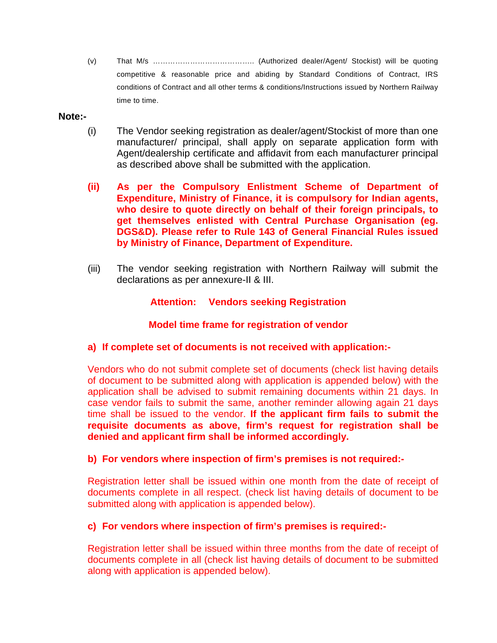(v) That M/s ………………………………….. (Authorized dealer/Agent/ Stockist) will be quoting competitive & reasonable price and abiding by Standard Conditions of Contract, IRS conditions of Contract and all other terms & conditions/Instructions issued by Northern Railway time to time.

## **Note:-**

- (i) The Vendor seeking registration as dealer/agent/Stockist of more than one manufacturer/ principal, shall apply on separate application form with Agent/dealership certificate and affidavit from each manufacturer principal as described above shall be submitted with the application.
- **(ii) As per the Compulsory Enlistment Scheme of Department of Expenditure, Ministry of Finance, it is compulsory for Indian agents, who desire to quote directly on behalf of their foreign principals, to get themselves enlisted with Central Purchase Organisation (eg. DGS&D). Please refer to Rule 143 of General Financial Rules issued by Ministry of Finance, Department of Expenditure.**
- (iii) The vendor seeking registration with Northern Railway will submit the declarations as per annexure-II & III.

# **Attention: Vendors seeking Registration**

# **Model time frame for registration of vendor**

## **a) If complete set of documents is not received with application:-**

Vendors who do not submit complete set of documents (check list having details of document to be submitted along with application is appended below) with the application shall be advised to submit remaining documents within 21 days. In case vendor fails to submit the same, another reminder allowing again 21 days time shall be issued to the vendor. **If the applicant firm fails to submit the requisite documents as above, firm's request for registration shall be denied and applicant firm shall be informed accordingly.**

## **b) For vendors where inspection of firm's premises is not required:-**

Registration letter shall be issued within one month from the date of receipt of documents complete in all respect. (check list having details of document to be submitted along with application is appended below).

## **c) For vendors where inspection of firm's premises is required:-**

Registration letter shall be issued within three months from the date of receipt of documents complete in all (check list having details of document to be submitted along with application is appended below).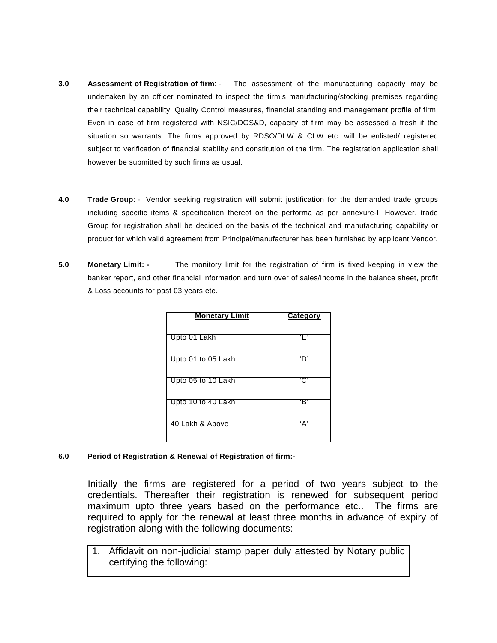- **3.0 Assessment of Registration of firm**: The assessment of the manufacturing capacity may be undertaken by an officer nominated to inspect the firm's manufacturing/stocking premises regarding their technical capability, Quality Control measures, financial standing and management profile of firm. Even in case of firm registered with NSIC/DGS&D, capacity of firm may be assessed a fresh if the situation so warrants. The firms approved by RDSO/DLW & CLW etc. will be enlisted/ registered subject to verification of financial stability and constitution of the firm. The registration application shall however be submitted by such firms as usual.
- **4.0 Trade Group**: Vendor seeking registration will submit justification for the demanded trade groups including specific items & specification thereof on the performa as per annexure-I. However, trade Group for registration shall be decided on the basis of the technical and manufacturing capability or product for which valid agreement from Principal/manufacturer has been furnished by applicant Vendor.
- **5.0 Monetary Limit: -** The monitory limit for the registration of firm is fixed keeping in view the banker report, and other financial information and turn over of sales/Income in the balance sheet, profit & Loss accounts for past 03 years etc.

| <b>Monetary Limit</b> | <b>Category</b> |
|-----------------------|-----------------|
| Upto 01 Lakh          | 'Ε'             |
| Upto 01 to 05 Lakh    |                 |
| Upto 05 to 10 Lakh    | تن              |
| Upto 10 to 40 Lakh    | ʻRʻ             |
| 40 Lakh & Above       | 'Α'             |

### **6.0 Period of Registration & Renewal of Registration of firm:-**

Initially the firms are registered for a period of two years subject to the credentials. Thereafter their registration is renewed for subsequent period maximum upto three years based on the performance etc.. The firms are required to apply for the renewal at least three months in advance of expiry of registration along-with the following documents:

1. Affidavit on non-judicial stamp paper duly attested by Notary public certifying the following: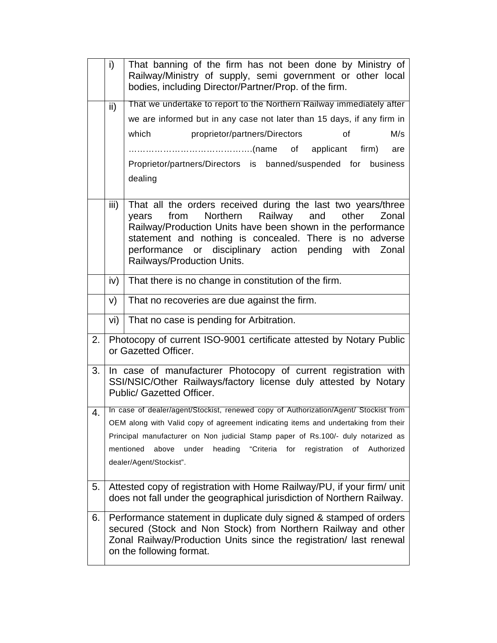|    | i)              | That banning of the firm has not been done by Ministry of<br>Railway/Ministry of supply, semi government or other local<br>bodies, including Director/Partner/Prop. of the firm.                                                                                                                                                               |  |  |  |  |  |  |
|----|-----------------|------------------------------------------------------------------------------------------------------------------------------------------------------------------------------------------------------------------------------------------------------------------------------------------------------------------------------------------------|--|--|--|--|--|--|
|    | $\mathsf{ii}$ ) | That we undertake to report to the Northern Railway immediately after                                                                                                                                                                                                                                                                          |  |  |  |  |  |  |
|    |                 | we are informed but in any case not later than 15 days, if any firm in                                                                                                                                                                                                                                                                         |  |  |  |  |  |  |
|    |                 | M/s<br>which<br>proprietor/partners/Directors<br>of                                                                                                                                                                                                                                                                                            |  |  |  |  |  |  |
|    |                 | are                                                                                                                                                                                                                                                                                                                                            |  |  |  |  |  |  |
|    |                 | Proprietor/partners/Directors is banned/suspended for business                                                                                                                                                                                                                                                                                 |  |  |  |  |  |  |
|    |                 | dealing                                                                                                                                                                                                                                                                                                                                        |  |  |  |  |  |  |
|    | iii)            | That all the orders received during the last two years/three<br>Northern Railway<br>from<br>and<br>other<br>years<br>Zonal<br>Railway/Production Units have been shown in the performance<br>statement and nothing is concealed. There is no adverse<br>performance or disciplinary action pending with<br>Zonal<br>Railways/Production Units. |  |  |  |  |  |  |
|    | iv)             | That there is no change in constitution of the firm.                                                                                                                                                                                                                                                                                           |  |  |  |  |  |  |
|    | V)              | That no recoveries are due against the firm.                                                                                                                                                                                                                                                                                                   |  |  |  |  |  |  |
|    | vi)             | That no case is pending for Arbitration.                                                                                                                                                                                                                                                                                                       |  |  |  |  |  |  |
| 2. |                 | Photocopy of current ISO-9001 certificate attested by Notary Public<br>or Gazetted Officer.                                                                                                                                                                                                                                                    |  |  |  |  |  |  |
| 3. |                 | In case of manufacturer Photocopy of current registration with<br>SSI/NSIC/Other Railways/factory license duly attested by Notary<br>Public/ Gazetted Officer.                                                                                                                                                                                 |  |  |  |  |  |  |
| 4. |                 | In case of dealer/agent/Stockist, renewed copy of Authorization/Agent/ Stockist from                                                                                                                                                                                                                                                           |  |  |  |  |  |  |
|    |                 | OEM along with Valid copy of agreement indicating items and undertaking from their<br>Principal manufacturer on Non judicial Stamp paper of Rs.100/- duly notarized as                                                                                                                                                                         |  |  |  |  |  |  |
|    |                 | mentioned<br>under<br>heading "Criteria for registration of<br>above<br>Authorized                                                                                                                                                                                                                                                             |  |  |  |  |  |  |
|    |                 | dealer/Agent/Stockist".                                                                                                                                                                                                                                                                                                                        |  |  |  |  |  |  |
| 5. |                 | Attested copy of registration with Home Railway/PU, if your firm/ unit<br>does not fall under the geographical jurisdiction of Northern Railway.                                                                                                                                                                                               |  |  |  |  |  |  |
| 6. |                 | Performance statement in duplicate duly signed & stamped of orders<br>secured (Stock and Non Stock) from Northern Railway and other<br>Zonal Railway/Production Units since the registration/ last renewal<br>on the following format.                                                                                                         |  |  |  |  |  |  |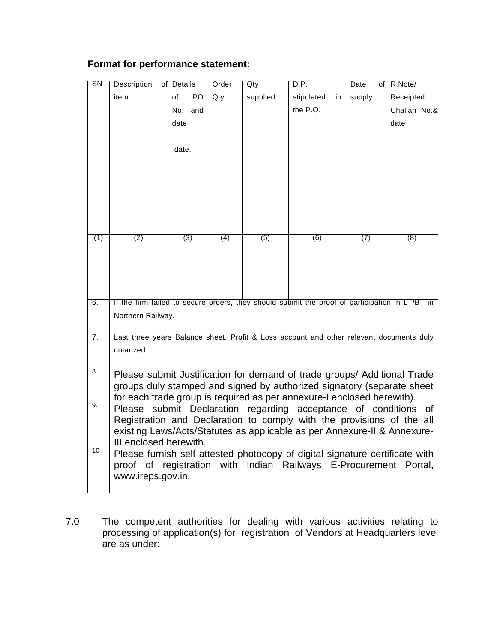# **Format for performance statement:**

| SN  | <b>Description</b>        | of Details           | Order | Qty      | D.P.                                                                                                                                              | Date<br>ofl | R.Note/      |
|-----|---------------------------|----------------------|-------|----------|---------------------------------------------------------------------------------------------------------------------------------------------------|-------------|--------------|
|     | item                      | of<br>P <sub>O</sub> | Qty   | supplied | stipulated<br>in                                                                                                                                  | supply      | Receipted    |
|     |                           | No. and              |       |          | the P.O.                                                                                                                                          |             | Challan No.& |
|     |                           | date                 |       |          |                                                                                                                                                   |             | date         |
|     |                           |                      |       |          |                                                                                                                                                   |             |              |
|     |                           | date.                |       |          |                                                                                                                                                   |             |              |
|     |                           |                      |       |          |                                                                                                                                                   |             |              |
|     |                           |                      |       |          |                                                                                                                                                   |             |              |
|     |                           |                      |       |          |                                                                                                                                                   |             |              |
|     |                           |                      |       |          |                                                                                                                                                   |             |              |
|     |                           |                      |       |          |                                                                                                                                                   |             |              |
|     |                           |                      |       |          |                                                                                                                                                   |             |              |
| (1) | (2)                       | (3)                  | (4)   | (5)      | (6)                                                                                                                                               | (7)         | (8)          |
|     |                           |                      |       |          |                                                                                                                                                   |             |              |
|     |                           |                      |       |          |                                                                                                                                                   |             |              |
|     |                           |                      |       |          |                                                                                                                                                   |             |              |
|     |                           |                      |       |          |                                                                                                                                                   |             |              |
| 6.  |                           |                      |       |          | If the firm failed to secure orders, they should submit the proof of participation in LT/BT in                                                    |             |              |
|     | Northern Railway.         |                      |       |          |                                                                                                                                                   |             |              |
|     |                           |                      |       |          |                                                                                                                                                   |             |              |
| 7.  |                           |                      |       |          | Last three years Balance sheet, Profit & Loss account and other relevant documents duly                                                           |             |              |
|     | notarized.                |                      |       |          |                                                                                                                                                   |             |              |
|     |                           |                      |       |          |                                                                                                                                                   |             |              |
| 8.  |                           |                      |       |          | Please submit Justification for demand of trade groups/ Additional Trade                                                                          |             |              |
|     |                           |                      |       |          | groups duly stamped and signed by authorized signatory (separate sheet                                                                            |             |              |
| 9.  |                           |                      |       |          | for each trade group is required as per annexure-I enclosed herewith).                                                                            |             |              |
|     | Please submit Declaration |                      |       |          | regarding acceptance of conditions                                                                                                                |             | of           |
|     |                           |                      |       |          | Registration and Declaration to comply with the provisions of the all<br>existing Laws/Acts/Statutes as applicable as per Annexure-II & Annexure- |             |              |
|     | III enclosed herewith.    |                      |       |          |                                                                                                                                                   |             |              |
| 10  |                           |                      |       |          | Please furnish self attested photocopy of digital signature certificate with                                                                      |             |              |
|     |                           |                      |       |          | proof of registration with Indian Railways E-Procurement Portal,                                                                                  |             |              |
|     | www.ireps.gov.in.         |                      |       |          |                                                                                                                                                   |             |              |
|     |                           |                      |       |          |                                                                                                                                                   |             |              |

7.0 The competent authorities for dealing with various activities relating to processing of application(s) for registration of Vendors at Headquarters level are as under: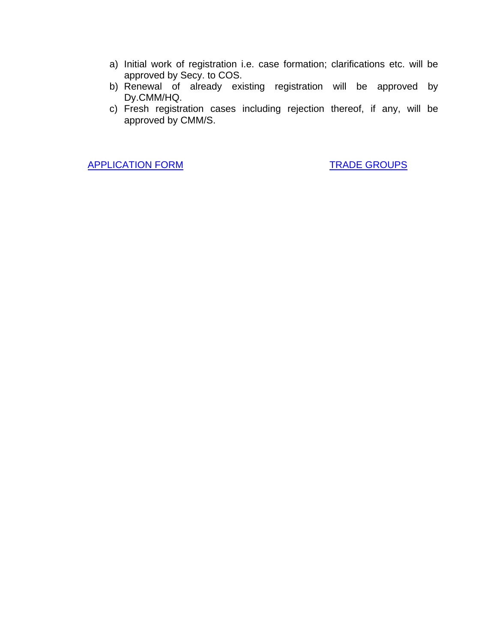- a) Initial work of registration i.e. case formation; clarifications etc. will be approved by Secy. to COS.
- b) Renewal of already existing registration will be approved by Dy.CMM/HQ.
- c) Fresh registration cases including rejection thereof, if any, will be approved by CMM/S.

[APPLICATION FORM](http://10.2.2.19/dept/stores/vendor%20registraton%20form%20for%20web%20site/Application%20Form.pdf) [TRADE GROUPS](http://10.2.2.19/dept/stores/vendor%20registraton%20form%20for%20web%20site/trade%20group.pdf)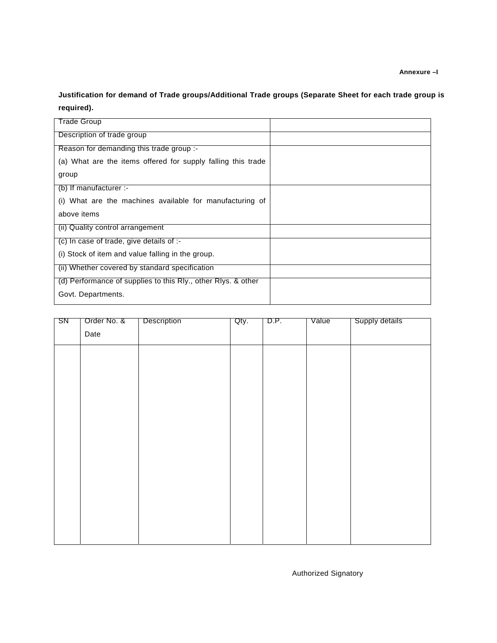**Annexure –I** 

**Justification for demand of Trade groups/Additional Trade groups (Separate Sheet for each trade group is required).**

| Trade Group                                                   |  |
|---------------------------------------------------------------|--|
| Description of trade group                                    |  |
| Reason for demanding this trade group :-                      |  |
| (a) What are the items offered for supply falling this trade  |  |
| group                                                         |  |
| (b) If manufacturer $:$                                       |  |
| (i) What are the machines available for manufacturing of      |  |
| above items                                                   |  |
| (ii) Quality control arrangement                              |  |
| (c) In case of trade, give details of :-                      |  |
| (i) Stock of item and value falling in the group.             |  |
| (ii) Whether covered by standard specification                |  |
| (d) Performance of supplies to this Rly., other Rlys. & other |  |
| Govt. Departments.                                            |  |

| SN | Order No. & | Description | Qty. | D.P. | Value | Supply details |
|----|-------------|-------------|------|------|-------|----------------|
|    | Date        |             |      |      |       |                |
|    |             |             |      |      |       |                |
|    |             |             |      |      |       |                |
|    |             |             |      |      |       |                |
|    |             |             |      |      |       |                |
|    |             |             |      |      |       |                |
|    |             |             |      |      |       |                |
|    |             |             |      |      |       |                |
|    |             |             |      |      |       |                |
|    |             |             |      |      |       |                |
|    |             |             |      |      |       |                |
|    |             |             |      |      |       |                |
|    |             |             |      |      |       |                |

Authorized Signatory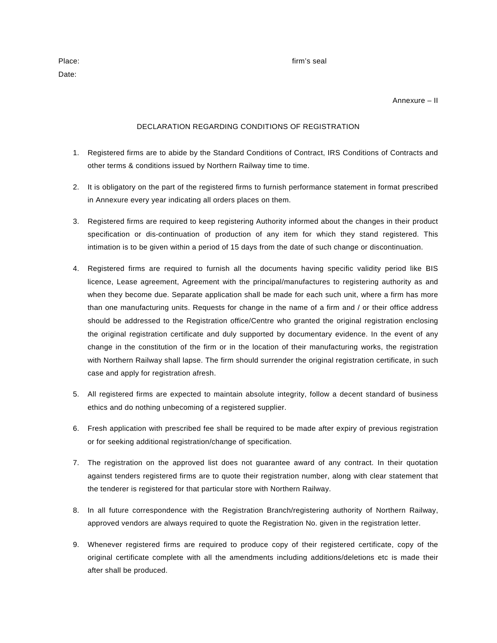Date:

#### Place: **firm's seal**

Annexure – II

#### DECLARATION REGARDING CONDITIONS OF REGISTRATION

- 1. Registered firms are to abide by the Standard Conditions of Contract, IRS Conditions of Contracts and other terms & conditions issued by Northern Railway time to time.
- 2. It is obligatory on the part of the registered firms to furnish performance statement in format prescribed in Annexure every year indicating all orders places on them.
- 3. Registered firms are required to keep registering Authority informed about the changes in their product specification or dis-continuation of production of any item for which they stand registered. This intimation is to be given within a period of 15 days from the date of such change or discontinuation.
- 4. Registered firms are required to furnish all the documents having specific validity period like BIS licence, Lease agreement, Agreement with the principal/manufactures to registering authority as and when they become due. Separate application shall be made for each such unit, where a firm has more than one manufacturing units. Requests for change in the name of a firm and / or their office address should be addressed to the Registration office/Centre who granted the original registration enclosing the original registration certificate and duly supported by documentary evidence. In the event of any change in the constitution of the firm or in the location of their manufacturing works, the registration with Northern Railway shall lapse. The firm should surrender the original registration certificate, in such case and apply for registration afresh.
- 5. All registered firms are expected to maintain absolute integrity, follow a decent standard of business ethics and do nothing unbecoming of a registered supplier.
- 6. Fresh application with prescribed fee shall be required to be made after expiry of previous registration or for seeking additional registration/change of specification.
- 7. The registration on the approved list does not guarantee award of any contract. In their quotation against tenders registered firms are to quote their registration number, along with clear statement that the tenderer is registered for that particular store with Northern Railway.
- 8. In all future correspondence with the Registration Branch/registering authority of Northern Railway, approved vendors are always required to quote the Registration No. given in the registration letter.
- 9. Whenever registered firms are required to produce copy of their registered certificate, copy of the original certificate complete with all the amendments including additions/deletions etc is made their after shall be produced.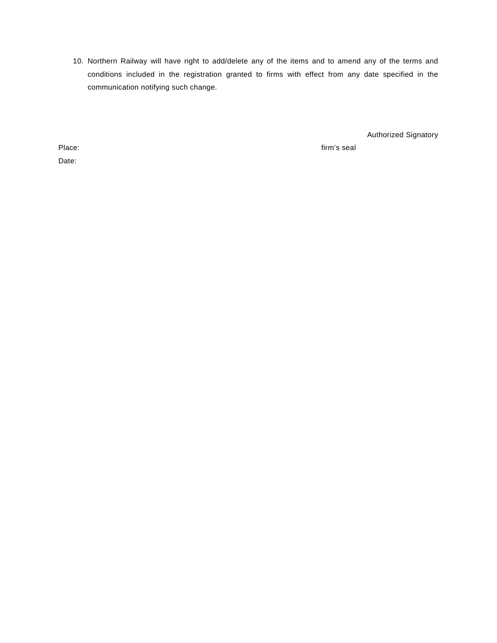10. Northern Railway will have right to add/delete any of the items and to amend any of the terms and conditions included in the registration granted to firms with effect from any date specified in the communication notifying such change.

Authorized Signatory

Date:

Place: firm's seal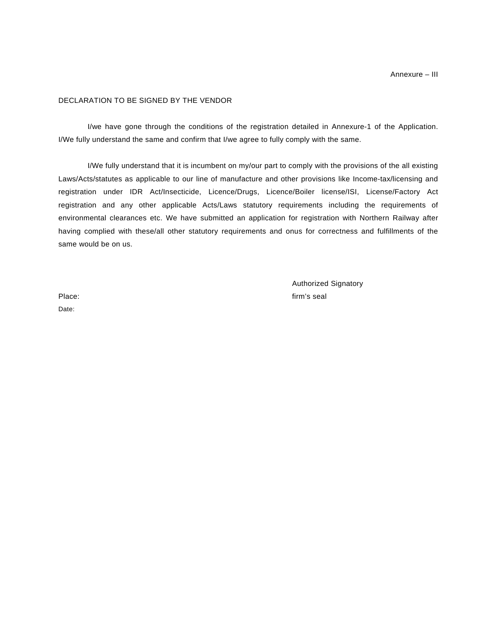### DECLARATION TO BE SIGNED BY THE VENDOR

I/we have gone through the conditions of the registration detailed in Annexure-1 of the Application. I/We fully understand the same and confirm that I/we agree to fully comply with the same.

 I/We fully understand that it is incumbent on my/our part to comply with the provisions of the all existing Laws/Acts/statutes as applicable to our line of manufacture and other provisions like Income-tax/licensing and registration under IDR Act/Insecticide, Licence/Drugs, Licence/Boiler license/ISI, License/Factory Act registration and any other applicable Acts/Laws statutory requirements including the requirements of environmental clearances etc. We have submitted an application for registration with Northern Railway after having complied with these/all other statutory requirements and onus for correctness and fulfillments of the same would be on us.

Authorized Signatory Place: **firm's seal** 

Date: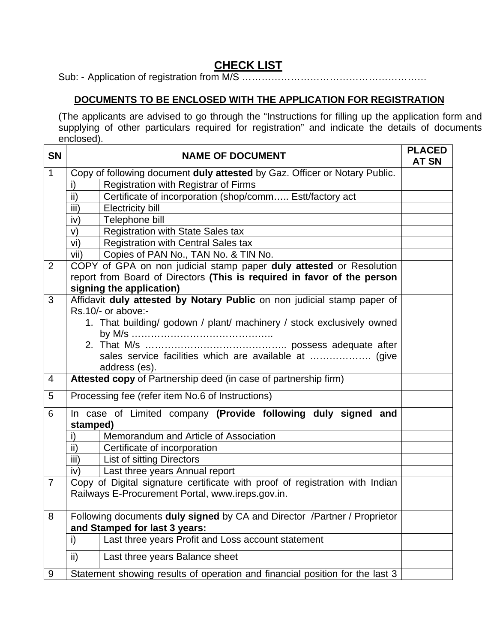# **CHECK LIST**

Sub: - Application of registration from M/S …………………………………………………

# **DOCUMENTS TO BE ENCLOSED WITH THE APPLICATION FOR REGISTRATION**

(The applicants are advised to go through the "Instructions for filling up the application form and supplying of other particulars required for registration" and indicate the details of documents enclosed).

| <b>SN</b>      | <b>NAME OF DOCUMENT</b>                                                                       | <b>PLACED</b><br><b>AT SN</b> |  |  |  |  |
|----------------|-----------------------------------------------------------------------------------------------|-------------------------------|--|--|--|--|
| $\mathbf{1}$   | Copy of following document duly attested by Gaz. Officer or Notary Public.                    |                               |  |  |  |  |
|                | Registration with Registrar of Firms<br>i)                                                    |                               |  |  |  |  |
|                | ii)<br>Certificate of incorporation (shop/comm Estt/factory act                               |                               |  |  |  |  |
|                | iii)<br><b>Electricity bill</b>                                                               |                               |  |  |  |  |
|                | Telephone bill<br>iv)                                                                         |                               |  |  |  |  |
|                | V)<br><b>Registration with State Sales tax</b>                                                |                               |  |  |  |  |
|                | vi)<br><b>Registration with Central Sales tax</b>                                             |                               |  |  |  |  |
|                | vii)<br>Copies of PAN No., TAN No. & TIN No.                                                  |                               |  |  |  |  |
| $\overline{2}$ | COPY of GPA on non judicial stamp paper duly attested or Resolution                           |                               |  |  |  |  |
|                | report from Board of Directors (This is required in favor of the person                       |                               |  |  |  |  |
| 3              | signing the application)                                                                      |                               |  |  |  |  |
|                | Affidavit duly attested by Notary Public on non judicial stamp paper of<br>Rs.10/- or above:- |                               |  |  |  |  |
|                | 1. That building/ godown / plant/ machinery / stock exclusively owned                         |                               |  |  |  |  |
|                |                                                                                               |                               |  |  |  |  |
|                |                                                                                               |                               |  |  |  |  |
|                | sales service facilities which are available at  (give                                        |                               |  |  |  |  |
|                | address (es).                                                                                 |                               |  |  |  |  |
| $\overline{4}$ | Attested copy of Partnership deed (in case of partnership firm)                               |                               |  |  |  |  |
| 5              | Processing fee (refer item No.6 of Instructions)                                              |                               |  |  |  |  |
| 6              | In case of Limited company (Provide following duly signed and<br>stamped)                     |                               |  |  |  |  |
|                | Memorandum and Article of Association<br>i)                                                   |                               |  |  |  |  |
|                | ii)<br>Certificate of incorporation                                                           |                               |  |  |  |  |
|                | $\overline{iii}$<br><b>List of sitting Directors</b>                                          |                               |  |  |  |  |
|                | iv)<br>Last three years Annual report                                                         |                               |  |  |  |  |
| $\overline{7}$ | Copy of Digital signature certificate with proof of registration with Indian                  |                               |  |  |  |  |
|                | Railways E-Procurement Portal, www.ireps.gov.in.                                              |                               |  |  |  |  |
| 8              | Following documents duly signed by CA and Director / Partner / Proprietor                     |                               |  |  |  |  |
|                | and Stamped for last 3 years:                                                                 |                               |  |  |  |  |
|                | Last three years Profit and Loss account statement<br>i)                                      |                               |  |  |  |  |
|                | ii)<br>Last three years Balance sheet                                                         |                               |  |  |  |  |
| 9              | Statement showing results of operation and financial position for the last 3                  |                               |  |  |  |  |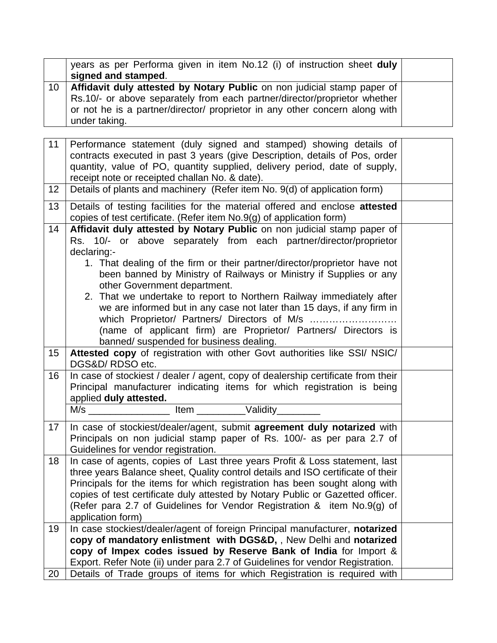|    | years as per Performa given in item No.12 (i) of instruction sheet duly<br>signed and stamped.                                                                                                                                                       |
|----|------------------------------------------------------------------------------------------------------------------------------------------------------------------------------------------------------------------------------------------------------|
| 10 | Affidavit duly attested by Notary Public on non judicial stamp paper of<br>Rs.10/- or above separately from each partner/director/proprietor whether<br>or not he is a partner/director/ proprietor in any other concern along with<br>under taking. |
|    |                                                                                                                                                                                                                                                      |
| 11 | Performance statement (duly signed and stamped) showing details of<br>contracts executed in past 3 years (give Description details of Pos order)                                                                                                     |

| 11 | Performance statement (duly signed and stamped) showing details of                                                                                             |  |  |  |  |  |
|----|----------------------------------------------------------------------------------------------------------------------------------------------------------------|--|--|--|--|--|
|    | contracts executed in past 3 years (give Description, details of Pos, order<br>quantity, value of PO, quantity supplied, delivery period, date of supply,      |  |  |  |  |  |
|    | receipt note or receipted challan No. & date).                                                                                                                 |  |  |  |  |  |
| 12 | Details of plants and machinery (Refer item No. 9(d) of application form)                                                                                      |  |  |  |  |  |
| 13 | Details of testing facilities for the material offered and enclose attested                                                                                    |  |  |  |  |  |
|    | copies of test certificate. (Refer item No.9(g) of application form)                                                                                           |  |  |  |  |  |
| 14 | Affidavit duly attested by Notary Public on non judicial stamp paper of                                                                                        |  |  |  |  |  |
|    | Rs. 10/- or above separately from each partner/director/proprietor<br>declaring:-                                                                              |  |  |  |  |  |
|    | 1. That dealing of the firm or their partner/director/proprietor have not                                                                                      |  |  |  |  |  |
|    | been banned by Ministry of Railways or Ministry if Supplies or any                                                                                             |  |  |  |  |  |
|    | other Government department.                                                                                                                                   |  |  |  |  |  |
|    | 2. That we undertake to report to Northern Railway immediately after                                                                                           |  |  |  |  |  |
|    | we are informed but in any case not later than 15 days, if any firm in                                                                                         |  |  |  |  |  |
|    | which Proprietor/ Partners/ Directors of M/s                                                                                                                   |  |  |  |  |  |
|    | (name of applicant firm) are Proprietor/ Partners/ Directors is<br>banned/ suspended for business dealing.                                                     |  |  |  |  |  |
| 15 | Attested copy of registration with other Govt authorities like SSI/ NSIC/                                                                                      |  |  |  |  |  |
|    | DGS&D/RDSO etc.                                                                                                                                                |  |  |  |  |  |
| 16 | In case of stockiest / dealer / agent, copy of dealership certificate from their                                                                               |  |  |  |  |  |
|    | Principal manufacturer indicating items for which registration is being                                                                                        |  |  |  |  |  |
|    | applied duly attested.                                                                                                                                         |  |  |  |  |  |
|    | Item Validity<br>M/s                                                                                                                                           |  |  |  |  |  |
| 17 | In case of stockiest/dealer/agent, submit agreement duly notarized with                                                                                        |  |  |  |  |  |
|    | Principals on non judicial stamp paper of Rs. 100/- as per para 2.7 of                                                                                         |  |  |  |  |  |
|    | Guidelines for vendor registration.                                                                                                                            |  |  |  |  |  |
| 18 | In case of agents, copies of Last three years Profit & Loss statement, last<br>three years Balance sheet, Quality control details and ISO certificate of their |  |  |  |  |  |
|    | Principals for the items for which registration has been sought along with                                                                                     |  |  |  |  |  |
|    | copies of test certificate duly attested by Notary Public or Gazetted officer.                                                                                 |  |  |  |  |  |
|    | (Refer para 2.7 of Guidelines for Vendor Registration & item No.9(g) of                                                                                        |  |  |  |  |  |
|    | application form)                                                                                                                                              |  |  |  |  |  |
| 19 | In case stockiest/dealer/agent of foreign Principal manufacturer, notarized                                                                                    |  |  |  |  |  |
|    | copy of mandatory enlistment with DGS&D,, New Delhi and notarized                                                                                              |  |  |  |  |  |
|    | copy of Impex codes issued by Reserve Bank of India for Import &                                                                                               |  |  |  |  |  |
|    | Export. Refer Note (ii) under para 2.7 of Guidelines for vendor Registration.                                                                                  |  |  |  |  |  |
| 20 | Details of Trade groups of items for which Registration is required with                                                                                       |  |  |  |  |  |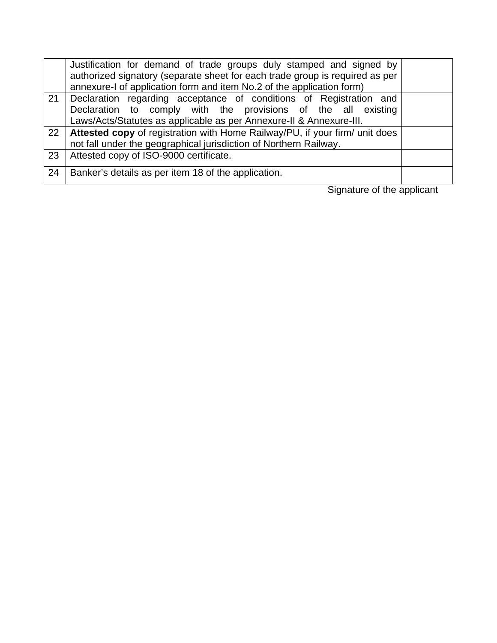|    | Justification for demand of trade groups duly stamped and signed by<br>authorized signatory (separate sheet for each trade group is required as per                                                        |  |
|----|------------------------------------------------------------------------------------------------------------------------------------------------------------------------------------------------------------|--|
|    | annexure-I of application form and item No.2 of the application form)                                                                                                                                      |  |
| 21 | Declaration regarding acceptance of conditions of Registration and<br>Declaration to comply with the provisions of the all existing<br>Laws/Acts/Statutes as applicable as per Annexure-II & Annexure-III. |  |
| 22 | Attested copy of registration with Home Railway/PU, if your firm/ unit does<br>not fall under the geographical jurisdiction of Northern Railway.                                                           |  |
| 23 | Attested copy of ISO-9000 certificate.                                                                                                                                                                     |  |
| 24 | Banker's details as per item 18 of the application.                                                                                                                                                        |  |

Signature of the applicant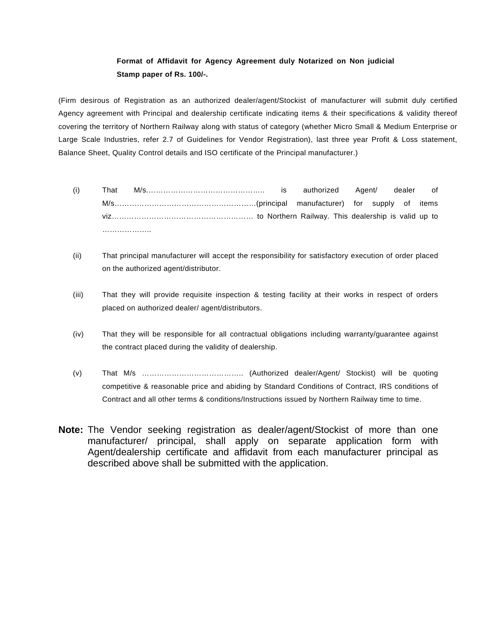## **Format of Affidavit for Agency Agreement duly Notarized on Non judicial Stamp paper of Rs. 100/-.**

(Firm desirous of Registration as an authorized dealer/agent/Stockist of manufacturer will submit duly certified Agency agreement with Principal and dealership certificate indicating items & their specifications & validity thereof covering the territory of Northern Railway along with status of category (whether Micro Small & Medium Enterprise or Large Scale Industries, refer 2.7 of Guidelines for Vendor Registration), last three year Profit & Loss statement, Balance Sheet, Quality Control details and ISO certificate of the Principal manufacturer.)

- (i) That M/s.……………………………………….. is authorized Agent/ dealer of M/s…………………………………………………(principal manufacturer) for supply of items viz………………………………………………… to Northern Railway. This dealership is valid up to ……………………
- (ii) That principal manufacturer will accept the responsibility for satisfactory execution of order placed on the authorized agent/distributor.
- (iii) That they will provide requisite inspection & testing facility at their works in respect of orders placed on authorized dealer/ agent/distributors.
- (iv) That they will be responsible for all contractual obligations including warranty/guarantee against the contract placed during the validity of dealership.
- (v) That M/s ………………………………….. (Authorized dealer/Agent/ Stockist) will be quoting competitive & reasonable price and abiding by Standard Conditions of Contract, IRS conditions of Contract and all other terms & conditions/Instructions issued by Northern Railway time to time.
- **Note:** The Vendor seeking registration as dealer/agent/Stockist of more than one manufacturer/ principal, shall apply on separate application form with Agent/dealership certificate and affidavit from each manufacturer principal as described above shall be submitted with the application.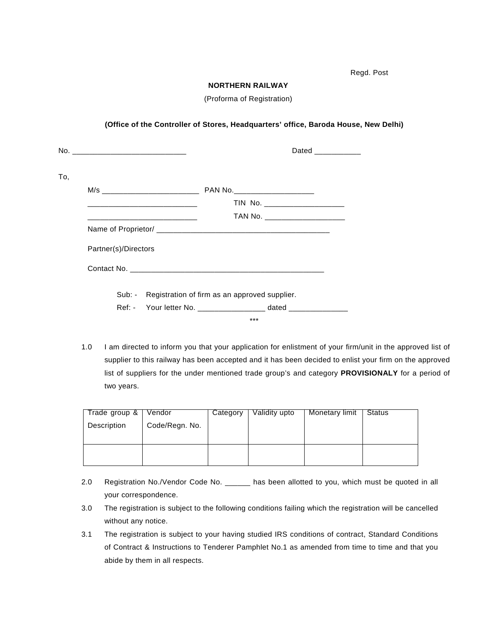Regd. Post

#### **NORTHERN RAILWAY**

(Proforma of Registration)

### **(Office of the Controller of Stores, Headquarters' office, Baroda House, New Delhi)**

|                      | TIN No. ______________________ |
|----------------------|--------------------------------|
|                      | TAN No. _____________________  |
|                      |                                |
| Partner(s)/Directors |                                |
|                      |                                |

1.0 I am directed to inform you that your application for enlistment of your firm/unit in the approved list of supplier to this railway has been accepted and it has been decided to enlist your firm on the approved list of suppliers for the under mentioned trade group's and category **PROVISIONALY** for a period of two years.

\*\*\*

| Trade group & | Vendor         | Category | Validity upto | Monetary limit | Status |
|---------------|----------------|----------|---------------|----------------|--------|
| Description   | Code/Regn. No. |          |               |                |        |
|               |                |          |               |                |        |
|               |                |          |               |                |        |
|               |                |          |               |                |        |
|               |                |          |               |                |        |

- 2.0 Registration No./Vendor Code No. \_\_\_\_\_\_ has been allotted to you, which must be quoted in all your correspondence.
- 3.0 The registration is subject to the following conditions failing which the registration will be cancelled without any notice.
- 3.1 The registration is subject to your having studied IRS conditions of contract, Standard Conditions of Contract & Instructions to Tenderer Pamphlet No.1 as amended from time to time and that you abide by them in all respects.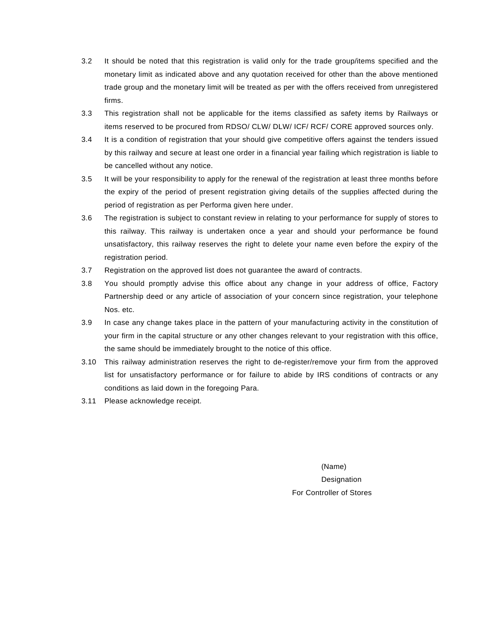- 3.2 It should be noted that this registration is valid only for the trade group/items specified and the monetary limit as indicated above and any quotation received for other than the above mentioned trade group and the monetary limit will be treated as per with the offers received from unregistered firms.
- 3.3 This registration shall not be applicable for the items classified as safety items by Railways or items reserved to be procured from RDSO/ CLW/ DLW/ ICF/ RCF/ CORE approved sources only.
- 3.4 It is a condition of registration that your should give competitive offers against the tenders issued by this railway and secure at least one order in a financial year failing which registration is liable to be cancelled without any notice.
- 3.5 It will be your responsibility to apply for the renewal of the registration at least three months before the expiry of the period of present registration giving details of the supplies affected during the period of registration as per Performa given here under.
- 3.6 The registration is subject to constant review in relating to your performance for supply of stores to this railway. This railway is undertaken once a year and should your performance be found unsatisfactory, this railway reserves the right to delete your name even before the expiry of the registration period.
- 3.7 Registration on the approved list does not guarantee the award of contracts.
- 3.8 You should promptly advise this office about any change in your address of office, Factory Partnership deed or any article of association of your concern since registration, your telephone Nos. etc.
- 3.9 In case any change takes place in the pattern of your manufacturing activity in the constitution of your firm in the capital structure or any other changes relevant to your registration with this office, the same should be immediately brought to the notice of this office.
- 3.10 This railway administration reserves the right to de-register/remove your firm from the approved list for unsatisfactory performance or for failure to abide by IRS conditions of contracts or any conditions as laid down in the foregoing Para.
- 3.11 Please acknowledge receipt.

(Name) Designation For Controller of Stores